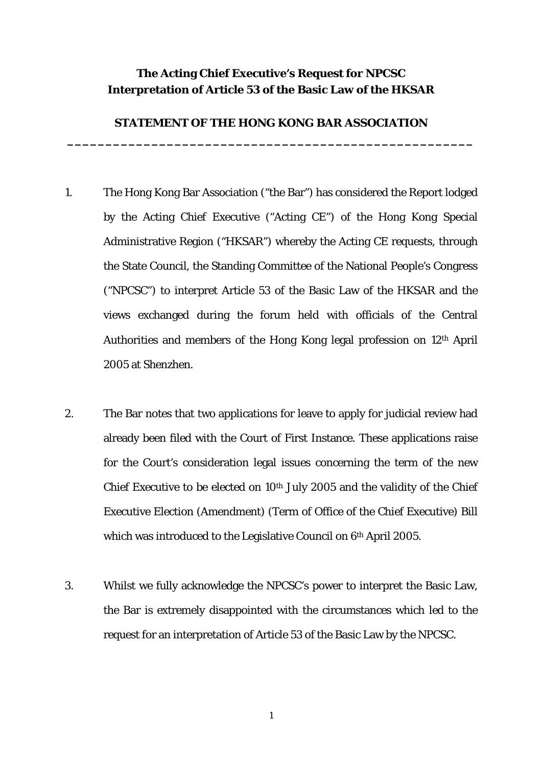## **The Acting Chief Executive's Request for NPCSC Interpretation of Article 53 of the Basic Law of the HKSAR**

## **STATEMENT OF THE HONG KONG BAR ASSOCIATION \_\_\_\_\_\_\_\_\_\_\_\_\_\_\_\_\_\_\_\_\_\_\_\_\_\_\_\_\_\_\_\_\_\_\_\_\_\_\_\_\_\_\_\_\_\_\_\_\_\_\_\_\_**

- 1. The Hong Kong Bar Association ("the Bar") has considered the Report lodged by the Acting Chief Executive ("Acting CE") of the Hong Kong Special Administrative Region ("HKSAR") whereby the Acting CE requests, through the State Council, the Standing Committee of the National People's Congress ("NPCSC") to interpret Article 53 of the Basic Law of the HKSAR and the views exchanged during the forum held with officials of the Central Authorities and members of the Hong Kong legal profession on 12th April 2005 at Shenzhen.
- 2. The Bar notes that two applications for leave to apply for judicial review had already been filed with the Court of First Instance. These applications raise for the Court's consideration legal issues concerning the term of the new Chief Executive to be elected on 10th July 2005 and the validity of the Chief Executive Election (Amendment) (Term of Office of the Chief Executive) Bill which was introduced to the Legislative Council on 6<sup>th</sup> April 2005.
- 3. Whilst we fully acknowledge the NPCSC's power to interpret the Basic Law, the Bar is extremely disappointed with the circumstances which led to the request for an interpretation of Article 53 of the Basic Law by the NPCSC.